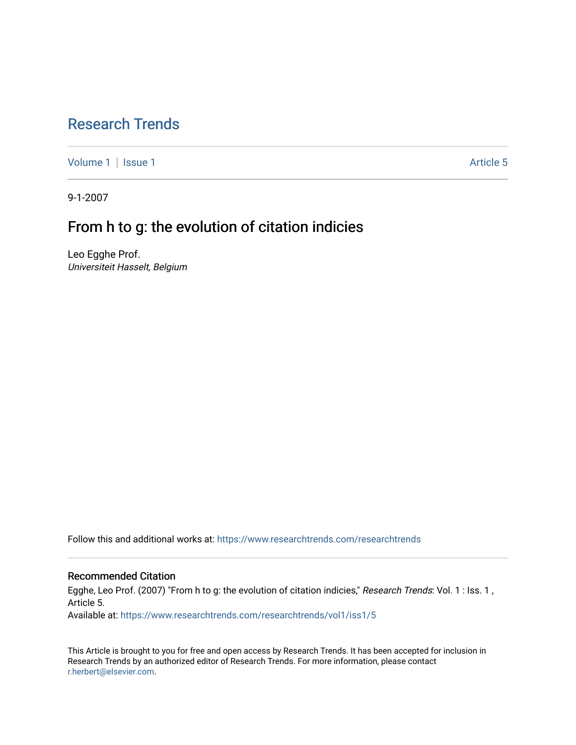## [Research Trends](https://www.researchtrends.com/researchtrends)

[Volume 1](https://www.researchtrends.com/researchtrends/vol1) | [Issue 1](https://www.researchtrends.com/researchtrends/vol1/iss1) Article 5

9-1-2007

## From h to g: the evolution of citation indicies

Leo Egghe Prof. Universiteit Hasselt, Belgium

Follow this and additional works at: [https://www.researchtrends.com/researchtrends](https://www.researchtrends.com/researchtrends?utm_source=www.researchtrends.com%2Fresearchtrends%2Fvol1%2Fiss1%2F5&utm_medium=PDF&utm_campaign=PDFCoverPages) 

#### Recommended Citation

Egghe, Leo Prof. (2007) "From h to g: the evolution of citation indicies," Research Trends: Vol. 1 : Iss. 1, Article 5.

Available at: [https://www.researchtrends.com/researchtrends/vol1/iss1/5](https://www.researchtrends.com/researchtrends/vol1/iss1/5?utm_source=www.researchtrends.com%2Fresearchtrends%2Fvol1%2Fiss1%2F5&utm_medium=PDF&utm_campaign=PDFCoverPages) 

This Article is brought to you for free and open access by Research Trends. It has been accepted for inclusion in Research Trends by an authorized editor of Research Trends. For more information, please contact [r.herbert@elsevier.com.](mailto:r.herbert@elsevier.com)